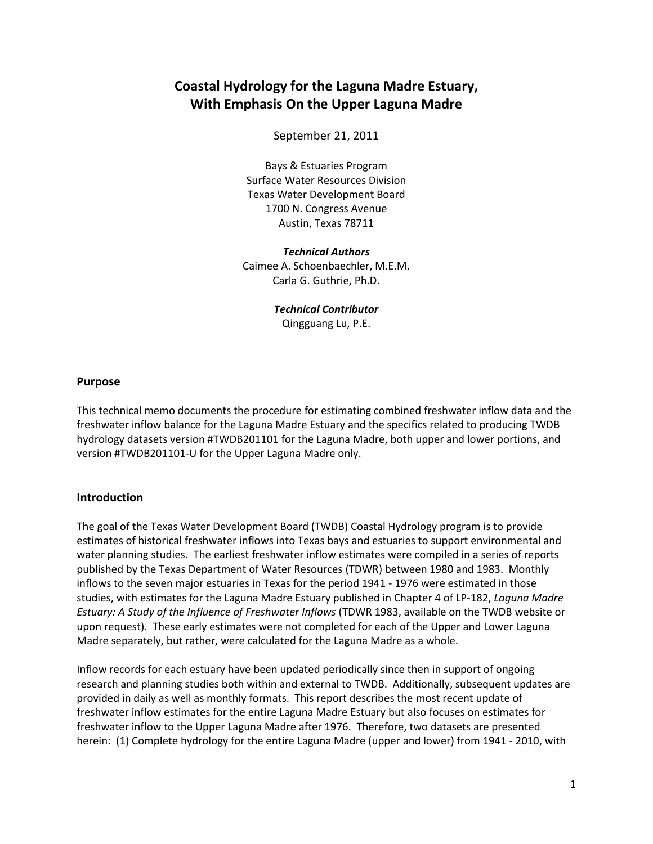# **Coastal Hydrology for the Laguna Madre Estuary, With Emphasis On the Upper Laguna Madre**

September 21, 2011

Bays & Estuaries Program Surface Water Resources Division Texas Water Development Board 1700 N. Congress Avenue Austin, Texas 78711

*Technical Authors* Caimee A. Schoenbaechler, M.E.M. Carla G. Guthrie, Ph.D.

> *Technical Contributor* Qingguang Lu, P.E.

### **Purpose**

This technical memo documents the procedure for estimating combined freshwater inflow data and the freshwater inflow balance for the Laguna Madre Estuary and the specifics related to producing TWDB hydrology datasets version #TWDB201101 for the Laguna Madre, both upper and lower portions, and version #TWDB201101-U for the Upper Laguna Madre only.

### **Introduction**

The goal of the Texas Water Development Board (TWDB) Coastal Hydrology program is to provide estimates of historical freshwater inflows into Texas bays and estuaries to support environmental and water planning studies. The earliest freshwater inflow estimates were compiled in a series of reports published by the Texas Department of Water Resources (TDWR) between 1980 and 1983. Monthly inflows to the seven major estuaries in Texas for the period 1941 - 1976 were estimated in those studies, with estimates for the Laguna Madre Estuary published in Chapter 4 of LP-182, *Laguna Madre Estuary: A Study of the Influence of Freshwater Inflows* (TDWR 1983, available on the TWDB website or upon request). These early estimates were not completed for each of the Upper and Lower Laguna Madre separately, but rather, were calculated for the Laguna Madre as a whole.

Inflow records for each estuary have been updated periodically since then in support of ongoing research and planning studies both within and external to TWDB. Additionally, subsequent updates are provided in daily as well as monthly formats. This report describes the most recent update of freshwater inflow estimates for the entire Laguna Madre Estuary but also focuses on estimates for freshwater inflow to the Upper Laguna Madre after 1976. Therefore, two datasets are presented herein: (1) Complete hydrology for the entire Laguna Madre (upper and lower) from 1941 - 2010, with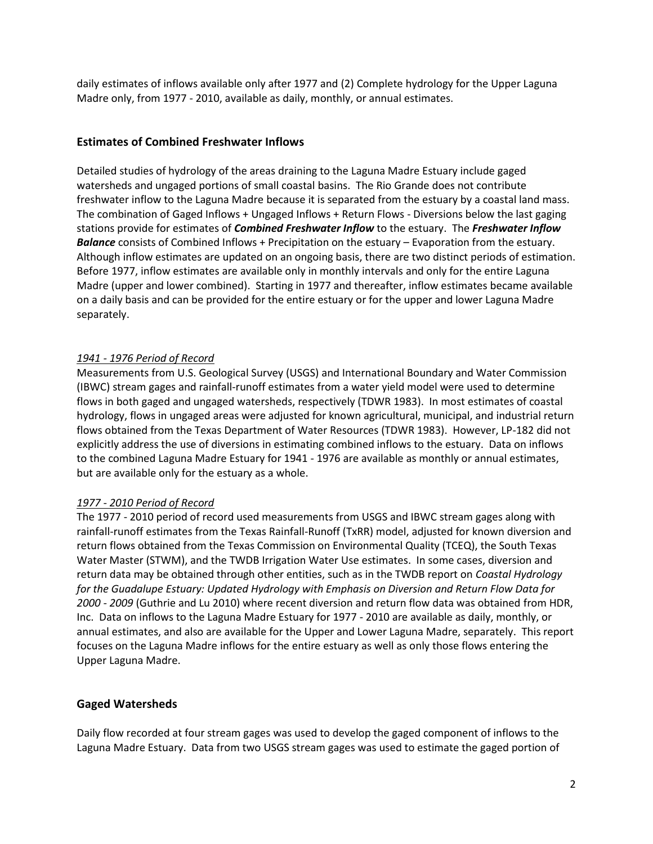daily estimates of inflows available only after 1977 and (2) Complete hydrology for the Upper Laguna Madre only, from 1977 - 2010, available as daily, monthly, or annual estimates.

### **Estimates of Combined Freshwater Inflows**

Detailed studies of hydrology of the areas draining to the Laguna Madre Estuary include gaged watersheds and ungaged portions of small coastal basins. The Rio Grande does not contribute freshwater inflow to the Laguna Madre because it is separated from the estuary by a coastal land mass. The combination of Gaged Inflows + Ungaged Inflows + Return Flows - Diversions below the last gaging stations provide for estimates of *Combined Freshwater Inflow* to the estuary. The *Freshwater Inflow Balance* consists of Combined Inflows + Precipitation on the estuary – Evaporation from the estuary. Although inflow estimates are updated on an ongoing basis, there are two distinct periods of estimation. Before 1977, inflow estimates are available only in monthly intervals and only for the entire Laguna Madre (upper and lower combined). Starting in 1977 and thereafter, inflow estimates became available on a daily basis and can be provided for the entire estuary or for the upper and lower Laguna Madre separately.

### *1941 - 1976 Period of Record*

Measurements from U.S. Geological Survey (USGS) and International Boundary and Water Commission (IBWC) stream gages and rainfall-runoff estimates from a water yield model were used to determine flows in both gaged and ungaged watersheds, respectively (TDWR 1983). In most estimates of coastal hydrology, flows in ungaged areas were adjusted for known agricultural, municipal, and industrial return flows obtained from the Texas Department of Water Resources (TDWR 1983). However, LP-182 did not explicitly address the use of diversions in estimating combined inflows to the estuary. Data on inflows to the combined Laguna Madre Estuary for 1941 - 1976 are available as monthly or annual estimates, but are available only for the estuary as a whole.

### *1977 - 2010 Period of Record*

The 1977 - 2010 period of record used measurements from USGS and IBWC stream gages along with rainfall-runoff estimates from the Texas Rainfall-Runoff (TxRR) model, adjusted for known diversion and return flows obtained from the Texas Commission on Environmental Quality (TCEQ), the South Texas Water Master (STWM), and the TWDB Irrigation Water Use estimates. In some cases, diversion and return data may be obtained through other entities, such as in the TWDB report on *Coastal Hydrology for the Guadalupe Estuary: Updated Hydrology with Emphasis on Diversion and Return Flow Data for 2000 - 2009* (Guthrie and Lu 2010) where recent diversion and return flow data was obtained from HDR, Inc. Data on inflows to the Laguna Madre Estuary for 1977 - 2010 are available as daily, monthly, or annual estimates, and also are available for the Upper and Lower Laguna Madre, separately. This report focuses on the Laguna Madre inflows for the entire estuary as well as only those flows entering the Upper Laguna Madre.

# **Gaged Watersheds**

Daily flow recorded at four stream gages was used to develop the gaged component of inflows to the Laguna Madre Estuary. Data from two USGS stream gages was used to estimate the gaged portion of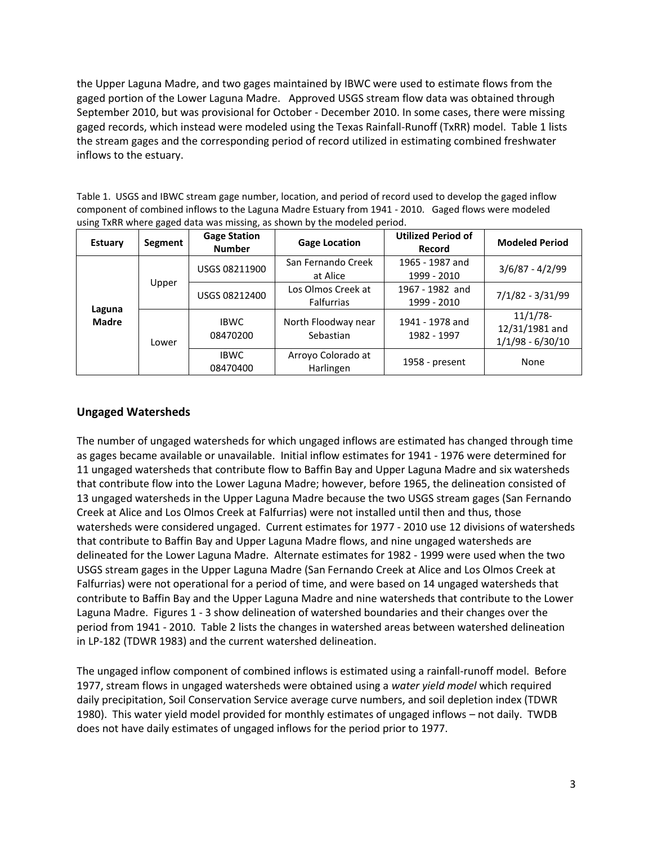the Upper Laguna Madre, and two gages maintained by IBWC were used to estimate flows from the gaged portion of the Lower Laguna Madre. Approved USGS stream flow data was obtained through September 2010, but was provisional for October - December 2010. In some cases, there were missing gaged records, which instead were modeled using the Texas Rainfall-Runoff (TxRR) model. Table 1 lists the stream gages and the corresponding period of record utilized in estimating combined freshwater inflows to the estuary.

Table 1. USGS and IBWC stream gage number, location, and period of record used to develop the gaged inflow component of combined inflows to the Laguna Madre Estuary from 1941 - 2010. Gaged flows were modeled using TxRR where gaged data was missing, as shown by the modeled period.

| <b>Estuary</b>         | Segment | <b>Gage Station</b><br><b>Number</b> | <b>Gage Location</b>                    | <b>Utilized Period of</b><br>Record | <b>Modeled Period</b>                               |
|------------------------|---------|--------------------------------------|-----------------------------------------|-------------------------------------|-----------------------------------------------------|
|                        |         | USGS 08211900                        | San Fernando Creek<br>at Alice          | 1965 - 1987 and<br>1999 - 2010      | $3/6/87 - 4/2/99$                                   |
|                        | Upper   | USGS 08212400                        | Los Olmos Creek at<br><b>Falfurrias</b> | 1967 - 1982 and<br>1999 - 2010      | $7/1/82 - 3/31/99$                                  |
| Laguna<br><b>Madre</b> | Lower   | <b>IBWC</b><br>08470200              | North Floodway near<br>Sebastian        | 1941 - 1978 and<br>1982 - 1997      | $11/1/78$ -<br>12/31/1981 and<br>$1/1/98 - 6/30/10$ |
|                        |         | <b>IBWC</b><br>08470400              | Arroyo Colorado at<br>Harlingen         | 1958 - present                      | None                                                |

# **Ungaged Watersheds**

The number of ungaged watersheds for which ungaged inflows are estimated has changed through time as gages became available or unavailable. Initial inflow estimates for 1941 - 1976 were determined for 11 ungaged watersheds that contribute flow to Baffin Bay and Upper Laguna Madre and six watersheds that contribute flow into the Lower Laguna Madre; however, before 1965, the delineation consisted of 13 ungaged watersheds in the Upper Laguna Madre because the two USGS stream gages (San Fernando Creek at Alice and Los Olmos Creek at Falfurrias) were not installed until then and thus, those watersheds were considered ungaged. Current estimates for 1977 - 2010 use 12 divisions of watersheds that contribute to Baffin Bay and Upper Laguna Madre flows, and nine ungaged watersheds are delineated for the Lower Laguna Madre. Alternate estimates for 1982 - 1999 were used when the two USGS stream gages in the Upper Laguna Madre (San Fernando Creek at Alice and Los Olmos Creek at Falfurrias) were not operational for a period of time, and were based on 14 ungaged watersheds that contribute to Baffin Bay and the Upper Laguna Madre and nine watersheds that contribute to the Lower Laguna Madre. Figures 1 - 3 show delineation of watershed boundaries and their changes over the period from 1941 - 2010. Table 2 lists the changes in watershed areas between watershed delineation in LP-182 (TDWR 1983) and the current watershed delineation.

The ungaged inflow component of combined inflows is estimated using a rainfall-runoff model. Before 1977, stream flows in ungaged watersheds were obtained using a *water yield model* which required daily precipitation, Soil Conservation Service average curve numbers, and soil depletion index (TDWR 1980). This water yield model provided for monthly estimates of ungaged inflows – not daily. TWDB does not have daily estimates of ungaged inflows for the period prior to 1977.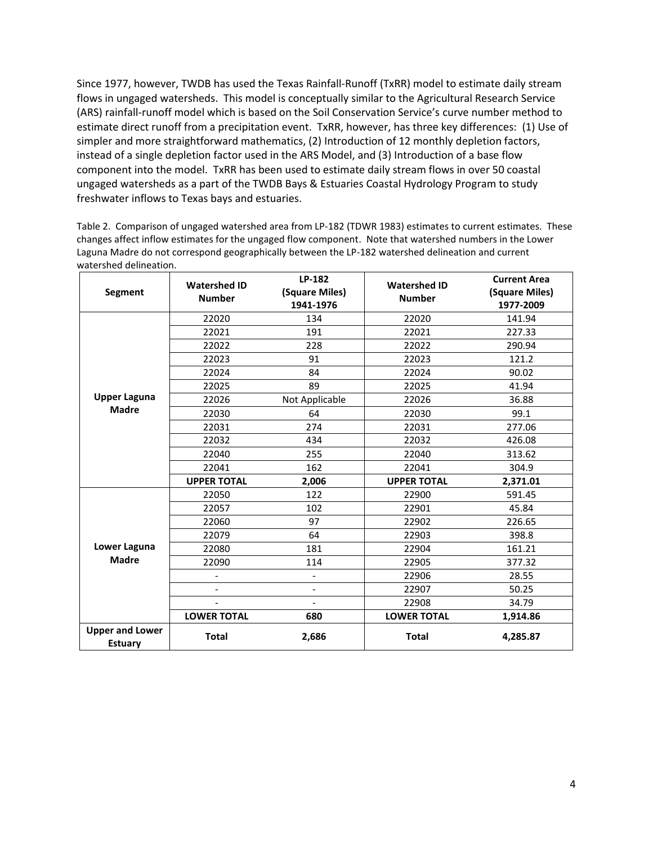Since 1977, however, TWDB has used the Texas Rainfall-Runoff (TxRR) model to estimate daily stream flows in ungaged watersheds. This model is conceptually similar to the Agricultural Research Service (ARS) rainfall-runoff model which is based on the Soil Conservation Service's curve number method to estimate direct runoff from a precipitation event. TxRR, however, has three key differences: (1) Use of simpler and more straightforward mathematics, (2) Introduction of 12 monthly depletion factors, instead of a single depletion factor used in the ARS Model, and (3) Introduction of a base flow component into the model. TxRR has been used to estimate daily stream flows in over 50 coastal ungaged watersheds as a part of the TWDB Bays & Estuaries Coastal Hydrology Program to study freshwater inflows to Texas bays and estuaries.

Table 2. Comparison of ungaged watershed area from LP-182 (TDWR 1983) estimates to current estimates. These changes affect inflow estimates for the ungaged flow component. Note that watershed numbers in the Lower Laguna Madre do not correspond geographically between the LP-182 watershed delineation and current watershed delineation.

| Segment                                  | <b>Watershed ID</b><br><b>Number</b> | LP-182<br>(Square Miles)<br>1941-1976 | <b>Watershed ID</b><br><b>Number</b> | <b>Current Area</b><br>(Square Miles)<br>1977-2009 |
|------------------------------------------|--------------------------------------|---------------------------------------|--------------------------------------|----------------------------------------------------|
|                                          | 22020                                | 134                                   | 22020                                | 141.94                                             |
|                                          | 22021                                | 191                                   | 22021                                | 227.33                                             |
|                                          | 22022                                | 228                                   | 22022                                | 290.94                                             |
|                                          | 22023                                | 91                                    | 22023                                | 121.2                                              |
|                                          | 22024                                | 84                                    | 22024                                | 90.02                                              |
|                                          | 22025                                | 89                                    | 22025                                | 41.94                                              |
| <b>Upper Laguna</b>                      | 22026                                | Not Applicable                        | 22026                                | 36.88                                              |
| <b>Madre</b>                             | 22030                                | 64                                    | 22030                                | 99.1                                               |
|                                          | 22031                                | 274                                   | 22031                                | 277.06                                             |
|                                          | 22032                                | 434                                   | 22032                                | 426.08                                             |
|                                          | 22040                                | 255                                   | 22040                                | 313.62                                             |
|                                          | 22041                                | 162                                   | 22041                                | 304.9                                              |
|                                          | <b>UPPER TOTAL</b>                   | 2,006                                 | <b>UPPER TOTAL</b>                   | 2,371.01                                           |
|                                          | 22050                                | 122                                   | 22900                                | 591.45                                             |
|                                          | 22057                                | 102                                   | 22901                                | 45.84                                              |
|                                          | 22060                                | 97                                    | 22902                                | 226.65                                             |
|                                          | 22079                                | 64                                    | 22903                                | 398.8                                              |
| Lower Laguna                             | 22080                                | 181                                   | 22904                                | 161.21                                             |
| <b>Madre</b>                             | 22090                                | 114                                   | 22905                                | 377.32                                             |
|                                          | $\overline{\phantom{a}}$             | $\overline{\phantom{a}}$              | 22906                                | 28.55                                              |
|                                          | $\overline{\phantom{a}}$             | $\overline{\phantom{a}}$              | 22907                                | 50.25                                              |
|                                          |                                      | $\overline{\phantom{a}}$              | 22908                                | 34.79                                              |
|                                          | <b>LOWER TOTAL</b>                   | 680                                   | <b>LOWER TOTAL</b>                   | 1,914.86                                           |
| <b>Upper and Lower</b><br><b>Estuary</b> | <b>Total</b>                         | 2,686                                 | <b>Total</b>                         | 4,285.87                                           |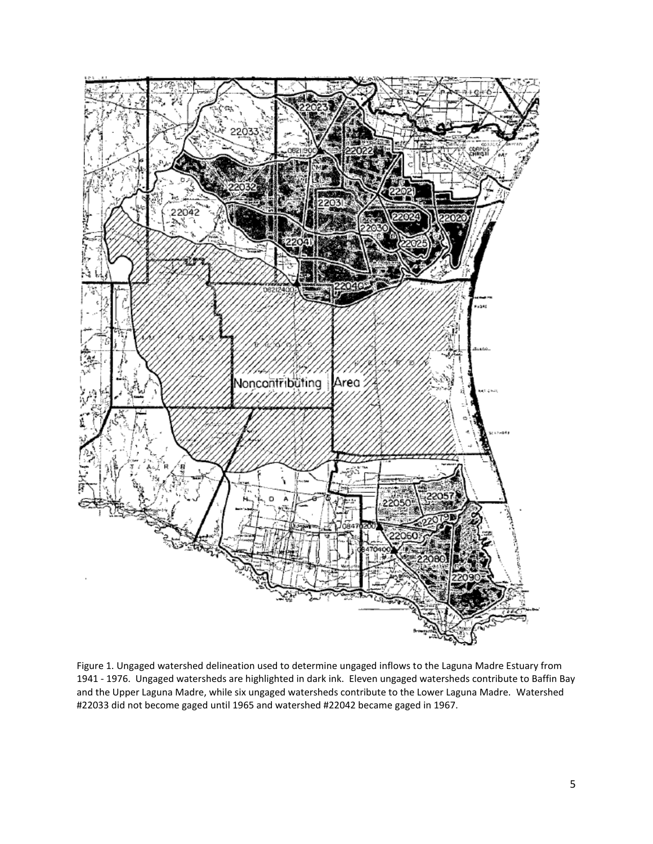

Figure 1. Ungaged watershed delineation used to determine ungaged inflows to the Laguna Madre Estuary from 1941 - 1976. Ungaged watersheds are highlighted in dark ink. Eleven ungaged watersheds contribute to Baffin Bay and the Upper Laguna Madre, while six ungaged watersheds contribute to the Lower Laguna Madre. Watershed #22033 did not become gaged until 1965 and watershed #22042 became gaged in 1967.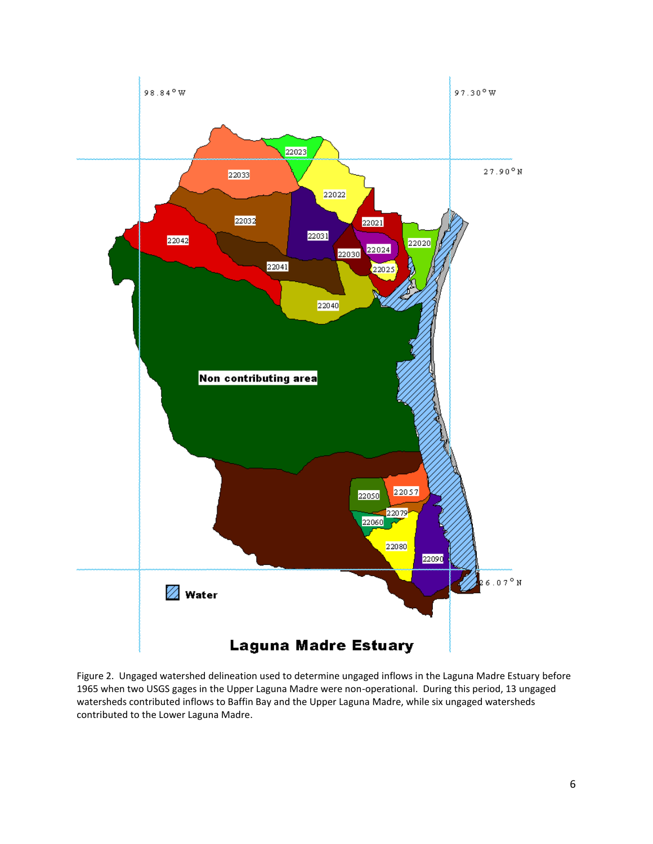

Figure 2. Ungaged watershed delineation used to determine ungaged inflows in the Laguna Madre Estuary before 1965 when two USGS gages in the Upper Laguna Madre were non-operational. During this period, 13 ungaged watersheds contributed inflows to Baffin Bay and the Upper Laguna Madre, while six ungaged watersheds contributed to the Lower Laguna Madre.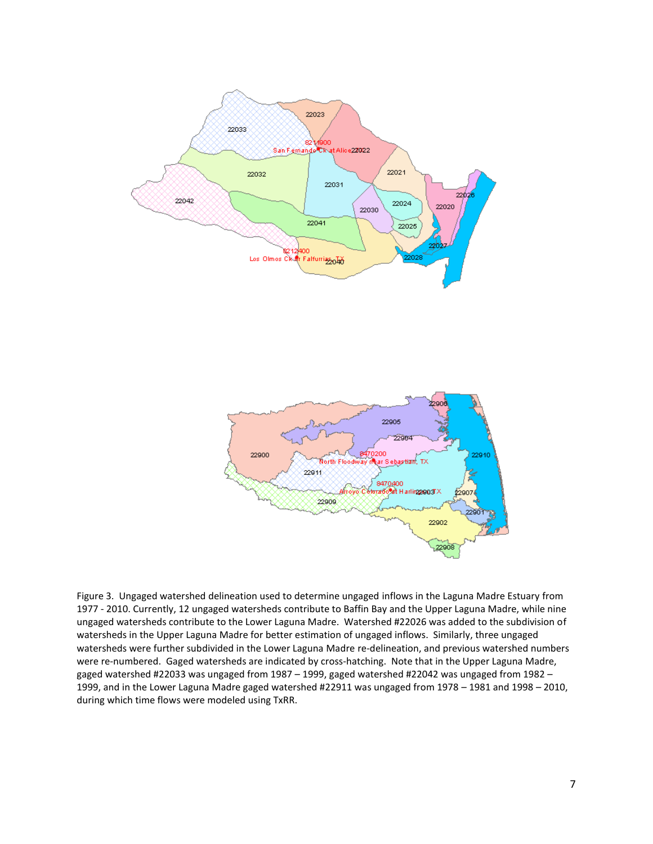



Figure 3. Ungaged watershed delineation used to determine ungaged inflows in the Laguna Madre Estuary from 1977 - 2010. Currently, 12 ungaged watersheds contribute to Baffin Bay and the Upper Laguna Madre, while nine ungaged watersheds contribute to the Lower Laguna Madre. Watershed #22026 was added to the subdivision of watersheds in the Upper Laguna Madre for better estimation of ungaged inflows. Similarly, three ungaged watersheds were further subdivided in the Lower Laguna Madre re-delineation, and previous watershed numbers were re-numbered. Gaged watersheds are indicated by cross-hatching. Note that in the Upper Laguna Madre, gaged watershed #22033 was ungaged from 1987 – 1999, gaged watershed #22042 was ungaged from 1982 – 1999, and in the Lower Laguna Madre gaged watershed #22911 was ungaged from 1978 – 1981 and 1998 – 2010, during which time flows were modeled using TxRR.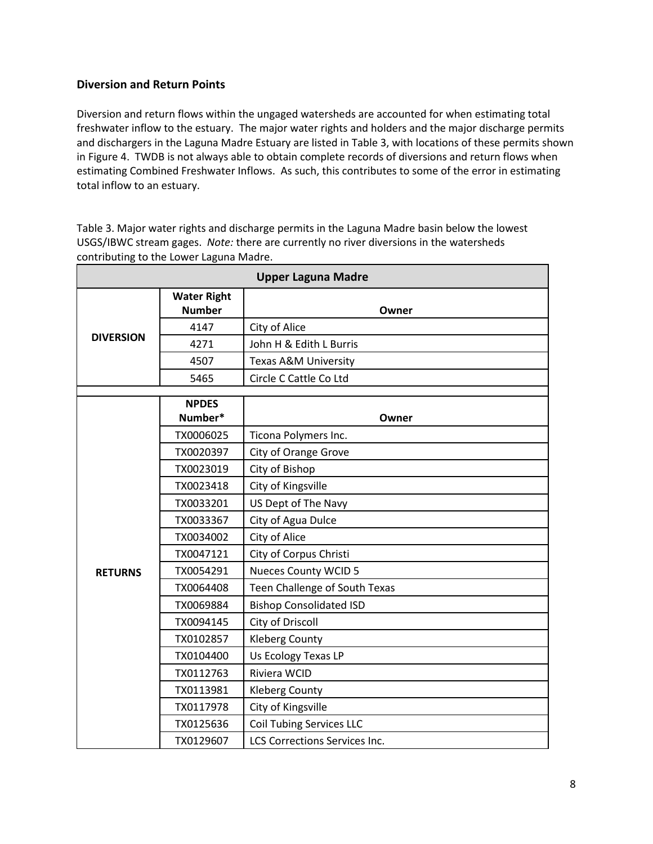# **Diversion and Return Points**

Diversion and return flows within the ungaged watersheds are accounted for when estimating total freshwater inflow to the estuary. The major water rights and holders and the major discharge permits and dischargers in the Laguna Madre Estuary are listed in Table 3, with locations of these permits shown in Figure 4. TWDB is not always able to obtain complete records of diversions and return flows when estimating Combined Freshwater Inflows. As such, this contributes to some of the error in estimating total inflow to an estuary.

Table 3. Major water rights and discharge permits in the Laguna Madre basin below the lowest USGS/IBWC stream gages. *Note:* there are currently no river diversions in the watersheds contributing to the Lower Laguna Madre.

|                  |                                     | <b>Upper Laguna Madre</b>            |
|------------------|-------------------------------------|--------------------------------------|
|                  | <b>Water Right</b><br><b>Number</b> | Owner                                |
|                  | 4147                                | City of Alice                        |
| <b>DIVERSION</b> | 4271                                | John H & Edith L Burris              |
|                  | 4507                                | Texas A&M University                 |
|                  | 5465                                | Circle C Cattle Co Ltd               |
|                  | <b>NPDES</b>                        |                                      |
|                  | Number*                             | Owner                                |
|                  | TX0006025                           | Ticona Polymers Inc.                 |
|                  | TX0020397                           | City of Orange Grove                 |
|                  | TX0023019                           | City of Bishop                       |
|                  | TX0023418                           | City of Kingsville                   |
|                  | TX0033201                           | US Dept of The Navy                  |
|                  | TX0033367                           | City of Agua Dulce                   |
|                  | TX0034002                           | City of Alice                        |
|                  | TX0047121                           | City of Corpus Christi               |
| <b>RETURNS</b>   | TX0054291                           | <b>Nueces County WCID 5</b>          |
|                  | TX0064408                           | Teen Challenge of South Texas        |
|                  | TX0069884                           | <b>Bishop Consolidated ISD</b>       |
|                  | TX0094145                           | City of Driscoll                     |
|                  | TX0102857                           | <b>Kleberg County</b>                |
|                  | TX0104400                           | Us Ecology Texas LP                  |
|                  | TX0112763                           | Riviera WCID                         |
|                  | TX0113981                           | <b>Kleberg County</b>                |
|                  | TX0117978                           | City of Kingsville                   |
|                  | TX0125636                           | <b>Coil Tubing Services LLC</b>      |
|                  | TX0129607                           | <b>LCS Corrections Services Inc.</b> |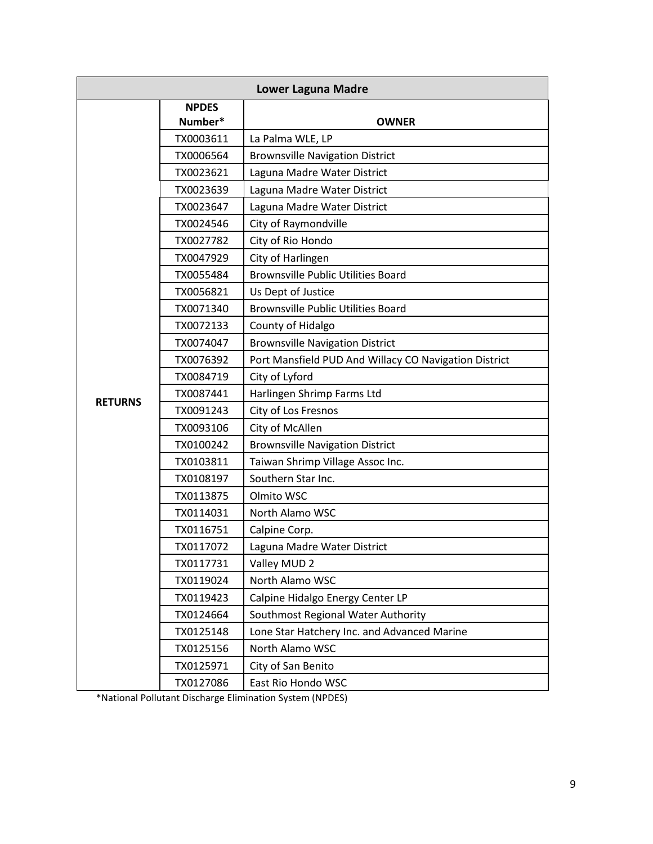|                |                         | <b>Lower Laguna Madre</b>                             |  |  |
|----------------|-------------------------|-------------------------------------------------------|--|--|
|                | <b>NPDES</b><br>Number* | <b>OWNER</b>                                          |  |  |
|                | TX0003611               | La Palma WLE, LP                                      |  |  |
|                | TX0006564               | <b>Brownsville Navigation District</b>                |  |  |
|                | TX0023621               | Laguna Madre Water District                           |  |  |
|                | TX0023639               | Laguna Madre Water District                           |  |  |
|                | TX0023647               | Laguna Madre Water District                           |  |  |
|                | TX0024546               | City of Raymondville                                  |  |  |
|                | TX0027782               | City of Rio Hondo                                     |  |  |
|                | TX0047929               | City of Harlingen                                     |  |  |
|                | TX0055484               | <b>Brownsville Public Utilities Board</b>             |  |  |
|                | TX0056821               | Us Dept of Justice                                    |  |  |
|                | TX0071340               | <b>Brownsville Public Utilities Board</b>             |  |  |
|                | TX0072133               | County of Hidalgo                                     |  |  |
|                | TX0074047               | <b>Brownsville Navigation District</b>                |  |  |
|                | TX0076392               | Port Mansfield PUD And Willacy CO Navigation District |  |  |
|                | TX0084719               | City of Lyford                                        |  |  |
|                | TX0087441               | Harlingen Shrimp Farms Ltd                            |  |  |
| <b>RETURNS</b> | TX0091243               | City of Los Fresnos                                   |  |  |
|                | TX0093106               | City of McAllen                                       |  |  |
|                | TX0100242               | <b>Brownsville Navigation District</b>                |  |  |
|                | TX0103811               | Taiwan Shrimp Village Assoc Inc.                      |  |  |
|                | TX0108197               | Southern Star Inc.                                    |  |  |
|                | TX0113875               | Olmito WSC                                            |  |  |
|                | TX0114031               | North Alamo WSC                                       |  |  |
|                | TX0116751               | Calpine Corp.                                         |  |  |
|                | TX0117072               | Laguna Madre Water District                           |  |  |
|                | TX0117731               | Valley MUD 2                                          |  |  |
|                | TX0119024               | North Alamo WSC                                       |  |  |
|                | TX0119423               | Calpine Hidalgo Energy Center LP                      |  |  |
|                | TX0124664               | Southmost Regional Water Authority                    |  |  |
|                | TX0125148               | Lone Star Hatchery Inc. and Advanced Marine           |  |  |
|                | TX0125156               | North Alamo WSC                                       |  |  |
|                | TX0125971               | City of San Benito                                    |  |  |
|                | TX0127086               | East Rio Hondo WSC                                    |  |  |

\*National Pollutant Discharge Elimination System (NPDES)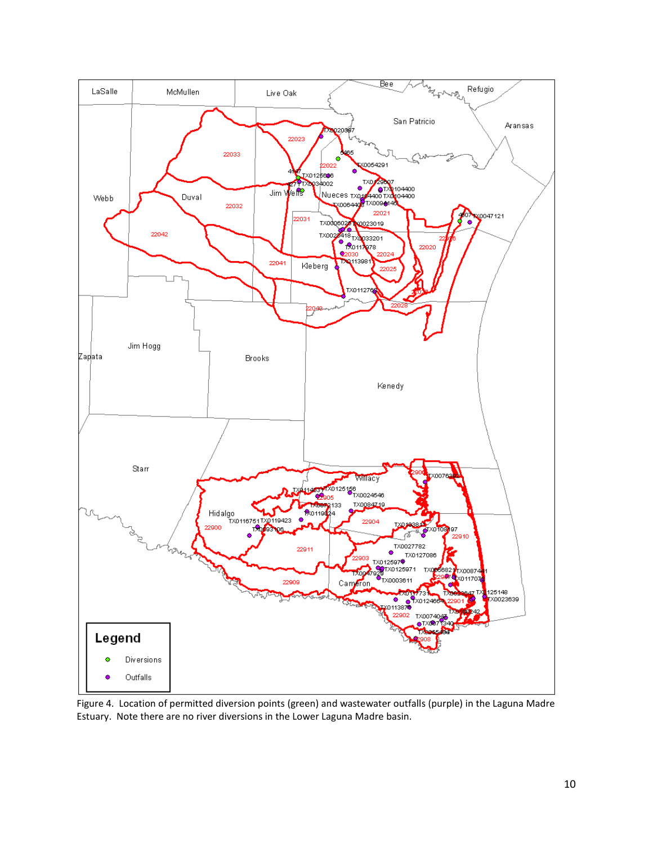

Figure 4. Location of permitted diversion points (green) and wastewater outfalls (purple) in the Laguna Madre Estuary. Note there are no river diversions in the Lower Laguna Madre basin.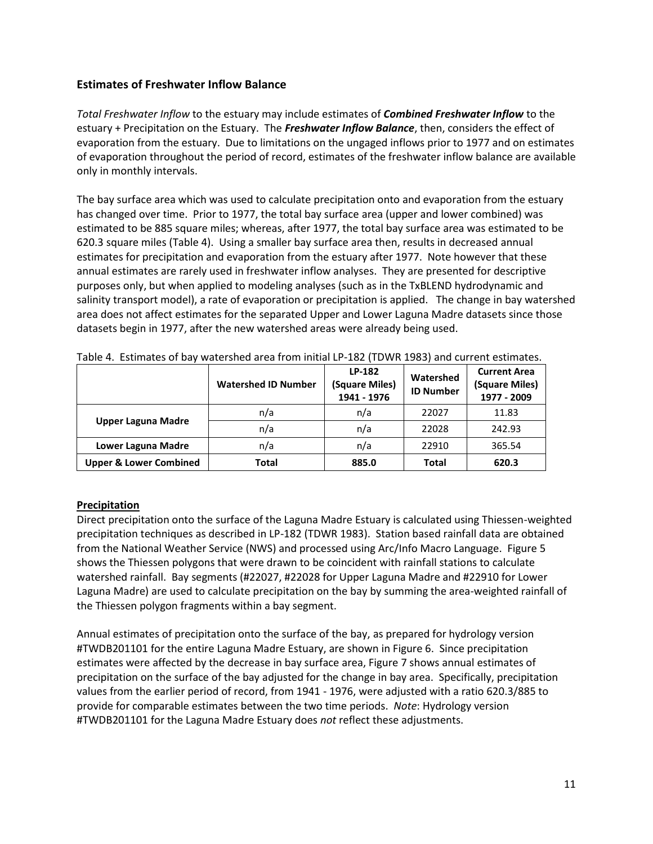# **Estimates of Freshwater Inflow Balance**

*Total Freshwater Inflow* to the estuary may include estimates of *Combined Freshwater Inflow* to the estuary + Precipitation on the Estuary. The *Freshwater Inflow Balance*, then, considers the effect of evaporation from the estuary. Due to limitations on the ungaged inflows prior to 1977 and on estimates of evaporation throughout the period of record, estimates of the freshwater inflow balance are available only in monthly intervals.

The bay surface area which was used to calculate precipitation onto and evaporation from the estuary has changed over time. Prior to 1977, the total bay surface area (upper and lower combined) was estimated to be 885 square miles; whereas, after 1977, the total bay surface area was estimated to be 620.3 square miles (Table 4). Using a smaller bay surface area then, results in decreased annual estimates for precipitation and evaporation from the estuary after 1977. Note however that these annual estimates are rarely used in freshwater inflow analyses. They are presented for descriptive purposes only, but when applied to modeling analyses (such as in the TxBLEND hydrodynamic and salinity transport model), a rate of evaporation or precipitation is applied. The change in bay watershed area does not affect estimates for the separated Upper and Lower Laguna Madre datasets since those datasets begin in 1977, after the new watershed areas were already being used.

|                                   | <b>Watershed ID Number</b> | LP-182<br>(Square Miles)<br>1941 - 1976 | Watershed<br><b>ID Number</b> | <b>Current Area</b><br>(Square Miles)<br>1977 - 2009 |
|-----------------------------------|----------------------------|-----------------------------------------|-------------------------------|------------------------------------------------------|
|                                   | n/a                        | n/a                                     | 22027                         | 11.83                                                |
| <b>Upper Laguna Madre</b>         | n/a                        | n/a                                     | 22028                         | 242.93                                               |
| Lower Laguna Madre                | n/a                        | n/a                                     | 22910                         | 365.54                                               |
| <b>Upper &amp; Lower Combined</b> | Total                      | 885.0                                   | <b>Total</b>                  | 620.3                                                |

Table 4. Estimates of bay watershed area from initial LP-182 (TDWR 1983) and current estimates.

### **Precipitation**

Direct precipitation onto the surface of the Laguna Madre Estuary is calculated using Thiessen-weighted precipitation techniques as described in LP-182 (TDWR 1983). Station based rainfall data are obtained from the National Weather Service (NWS) and processed using Arc/Info Macro Language. Figure 5 shows the Thiessen polygons that were drawn to be coincident with rainfall stations to calculate watershed rainfall. Bay segments (#22027, #22028 for Upper Laguna Madre and #22910 for Lower Laguna Madre) are used to calculate precipitation on the bay by summing the area-weighted rainfall of the Thiessen polygon fragments within a bay segment.

Annual estimates of precipitation onto the surface of the bay, as prepared for hydrology version #TWDB201101 for the entire Laguna Madre Estuary, are shown in Figure 6. Since precipitation estimates were affected by the decrease in bay surface area, Figure 7 shows annual estimates of precipitation on the surface of the bay adjusted for the change in bay area. Specifically, precipitation values from the earlier period of record, from 1941 - 1976, were adjusted with a ratio 620.3/885 to provide for comparable estimates between the two time periods. *Note*: Hydrology version #TWDB201101 for the Laguna Madre Estuary does *not* reflect these adjustments.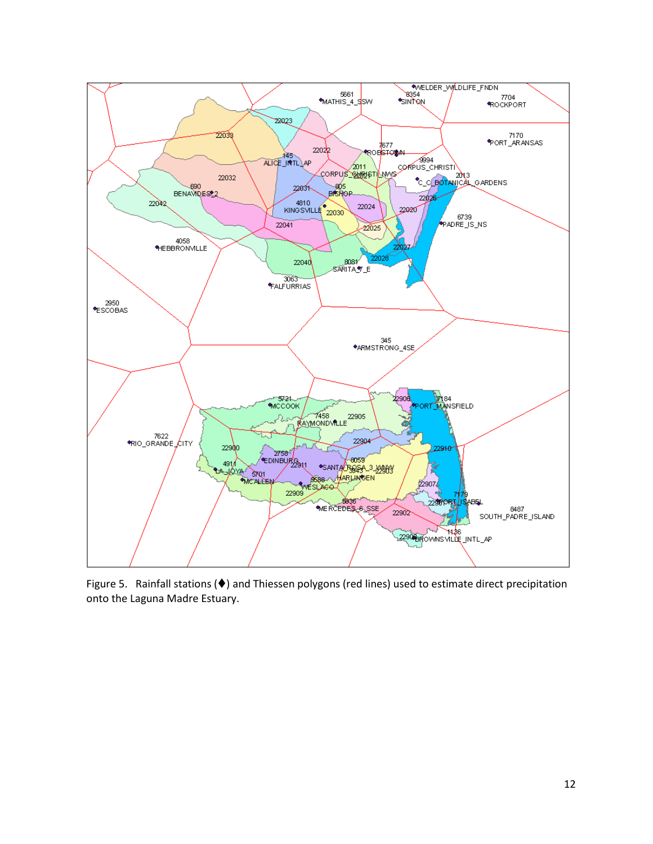

Figure 5. Rainfall stations ( $\blacklozenge$ ) and Thiessen polygons (red lines) used to estimate direct precipitation onto the Laguna Madre Estuary.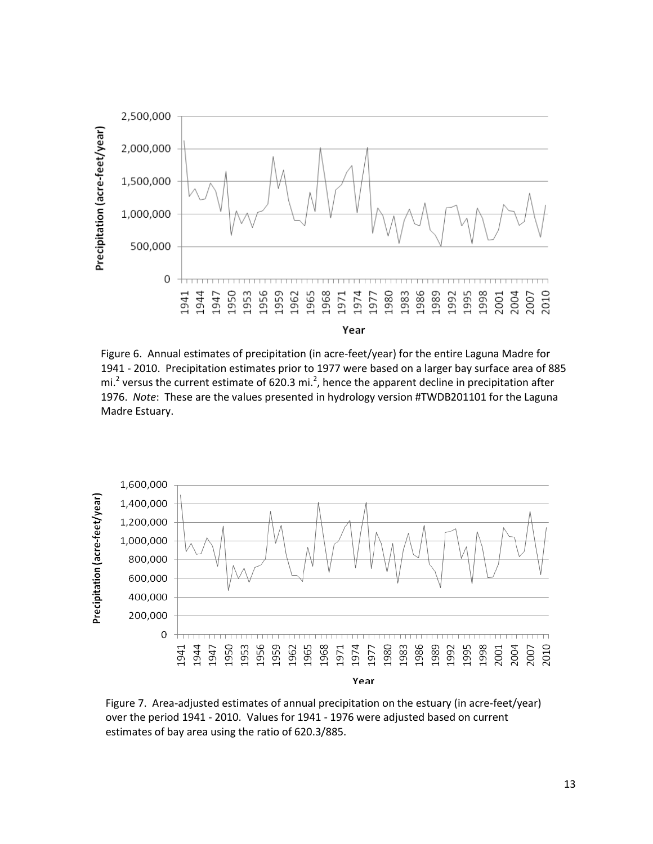

Figure 6. Annual estimates of precipitation (in acre-feet/year) for the entire Laguna Madre for 1941 - 2010. Precipitation estimates prior to 1977 were based on a larger bay surface area of 885 mi.<sup>2</sup> versus the current estimate of 620.3 mi.<sup>2</sup>, hence the apparent decline in precipitation after 1976. *Note*: These are the values presented in hydrology version #TWDB201101 for the Laguna Madre Estuary.



Figure 7. Area-adjusted estimates of annual precipitation on the estuary (in acre-feet/year) over the period 1941 - 2010. Values for 1941 - 1976 were adjusted based on current estimates of bay area using the ratio of 620.3/885.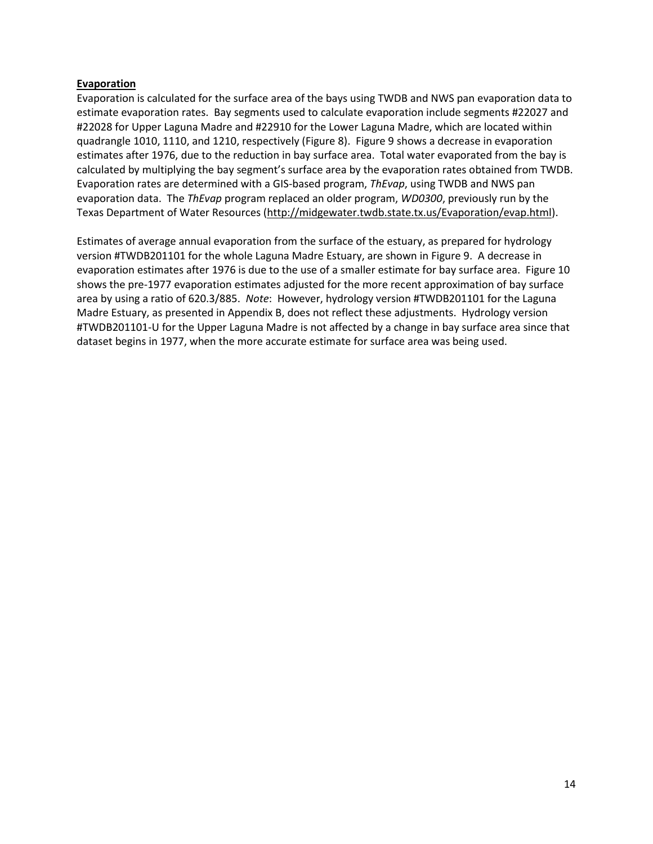#### **Evaporation**

Evaporation is calculated for the surface area of the bays using TWDB and NWS pan evaporation data to estimate evaporation rates. Bay segments used to calculate evaporation include segments #22027 and #22028 for Upper Laguna Madre and #22910 for the Lower Laguna Madre, which are located within quadrangle 1010, 1110, and 1210, respectively (Figure 8). Figure 9 shows a decrease in evaporation estimates after 1976, due to the reduction in bay surface area. Total water evaporated from the bay is calculated by multiplying the bay segment's surface area by the evaporation rates obtained from TWDB. Evaporation rates are determined with a GIS-based program, *ThEvap*, using TWDB and NWS pan evaporation data. The *ThEvap* program replaced an older program, *WD0300*, previously run by the Texas Department of Water Resources [\(http://midgewater.twdb.state.tx.us/Evaporation/evap.html\)](http://midgewater.twdb.state.tx.us/Evaporation/evap.html).

Estimates of average annual evaporation from the surface of the estuary, as prepared for hydrology version #TWDB201101 for the whole Laguna Madre Estuary, are shown in Figure 9. A decrease in evaporation estimates after 1976 is due to the use of a smaller estimate for bay surface area. Figure 10 shows the pre-1977 evaporation estimates adjusted for the more recent approximation of bay surface area by using a ratio of 620.3/885. *Note*: However, hydrology version #TWDB201101 for the Laguna Madre Estuary, as presented in Appendix B, does not reflect these adjustments. Hydrology version #TWDB201101-U for the Upper Laguna Madre is not affected by a change in bay surface area since that dataset begins in 1977, when the more accurate estimate for surface area was being used.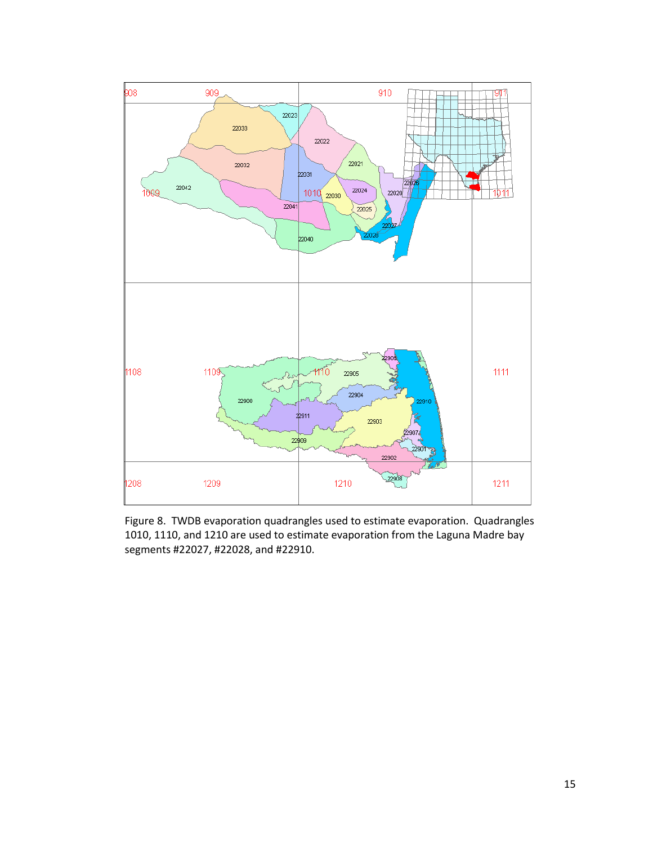

Figure 8. TWDB evaporation quadrangles used to estimate evaporation. Quadrangles 1010, 1110, and 1210 are used to estimate evaporation from the Laguna Madre bay segments #22027, #22028, and #22910.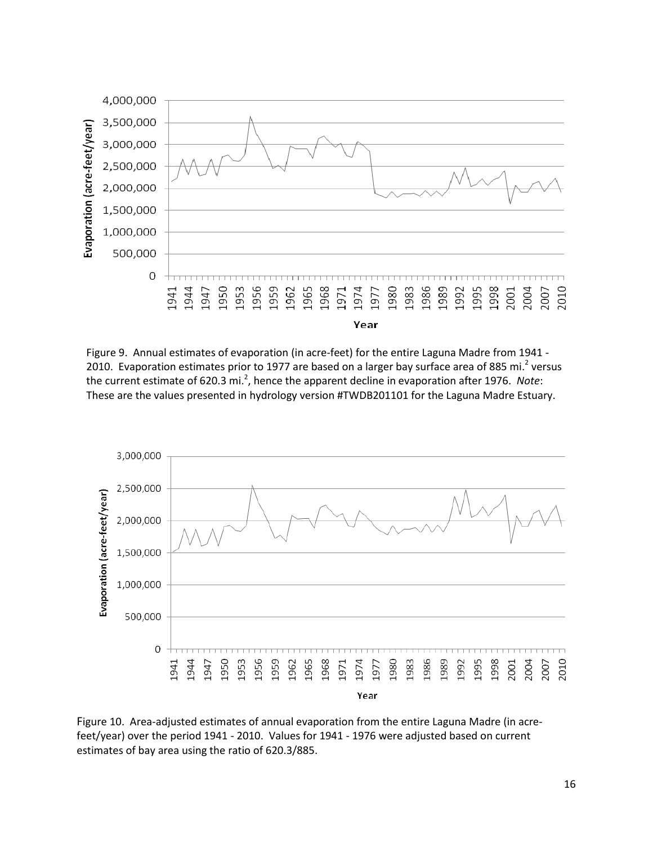

Figure 9. Annual estimates of evaporation (in acre-feet) for the entire Laguna Madre from 1941 - 2010. Evaporation estimates prior to 1977 are based on a larger bay surface area of 885 mi.<sup>2</sup> versus the current estimate of 620.3 mi.<sup>2</sup>, hence the apparent decline in evaporation after 1976. Note: These are the values presented in hydrology version #TWDB201101 for the Laguna Madre Estuary.



Figure 10. Area-adjusted estimates of annual evaporation from the entire Laguna Madre (in acrefeet/year) over the period 1941 - 2010. Values for 1941 - 1976 were adjusted based on current estimates of bay area using the ratio of 620.3/885.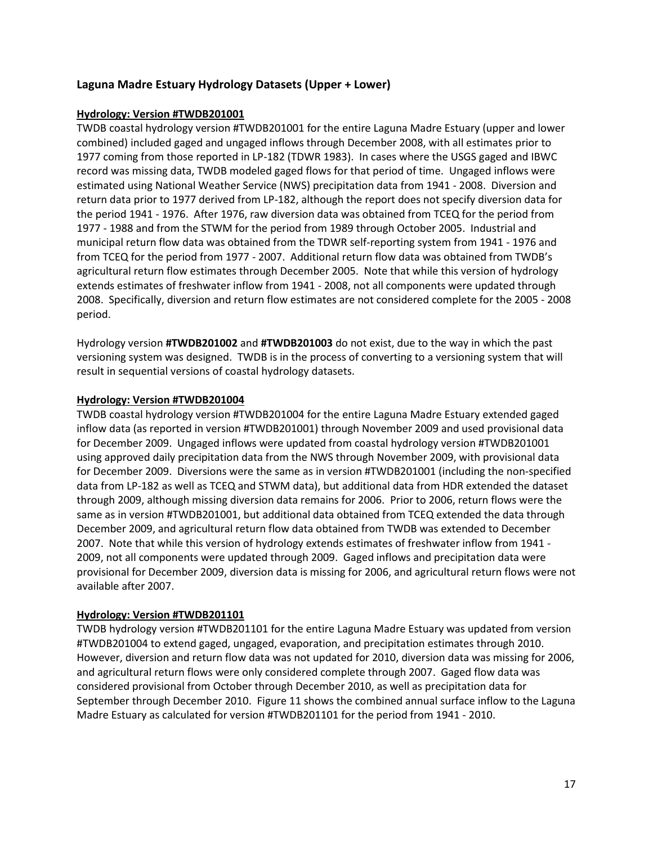# **Laguna Madre Estuary Hydrology Datasets (Upper + Lower)**

### **Hydrology: Version #TWDB201001**

TWDB coastal hydrology version #TWDB201001 for the entire Laguna Madre Estuary (upper and lower combined) included gaged and ungaged inflows through December 2008, with all estimates prior to 1977 coming from those reported in LP-182 (TDWR 1983). In cases where the USGS gaged and IBWC record was missing data, TWDB modeled gaged flows for that period of time. Ungaged inflows were estimated using National Weather Service (NWS) precipitation data from 1941 - 2008. Diversion and return data prior to 1977 derived from LP-182, although the report does not specify diversion data for the period 1941 - 1976. After 1976, raw diversion data was obtained from TCEQ for the period from 1977 - 1988 and from the STWM for the period from 1989 through October 2005. Industrial and municipal return flow data was obtained from the TDWR self-reporting system from 1941 - 1976 and from TCEQ for the period from 1977 - 2007. Additional return flow data was obtained from TWDB's agricultural return flow estimates through December 2005. Note that while this version of hydrology extends estimates of freshwater inflow from 1941 - 2008, not all components were updated through 2008. Specifically, diversion and return flow estimates are not considered complete for the 2005 - 2008 period.

Hydrology version **#TWDB201002** and **#TWDB201003** do not exist, due to the way in which the past versioning system was designed. TWDB is in the process of converting to a versioning system that will result in sequential versions of coastal hydrology datasets.

### **Hydrology: Version #TWDB201004**

TWDB coastal hydrology version #TWDB201004 for the entire Laguna Madre Estuary extended gaged inflow data (as reported in version #TWDB201001) through November 2009 and used provisional data for December 2009. Ungaged inflows were updated from coastal hydrology version #TWDB201001 using approved daily precipitation data from the NWS through November 2009, with provisional data for December 2009. Diversions were the same as in version #TWDB201001 (including the non-specified data from LP-182 as well as TCEQ and STWM data), but additional data from HDR extended the dataset through 2009, although missing diversion data remains for 2006. Prior to 2006, return flows were the same as in version #TWDB201001, but additional data obtained from TCEQ extended the data through December 2009, and agricultural return flow data obtained from TWDB was extended to December 2007. Note that while this version of hydrology extends estimates of freshwater inflow from 1941 - 2009, not all components were updated through 2009. Gaged inflows and precipitation data were provisional for December 2009, diversion data is missing for 2006, and agricultural return flows were not available after 2007.

# **Hydrology: Version #TWDB201101**

TWDB hydrology version #TWDB201101 for the entire Laguna Madre Estuary was updated from version #TWDB201004 to extend gaged, ungaged, evaporation, and precipitation estimates through 2010. However, diversion and return flow data was not updated for 2010, diversion data was missing for 2006, and agricultural return flows were only considered complete through 2007. Gaged flow data was considered provisional from October through December 2010, as well as precipitation data for September through December 2010. Figure 11 shows the combined annual surface inflow to the Laguna Madre Estuary as calculated for version #TWDB201101 for the period from 1941 - 2010.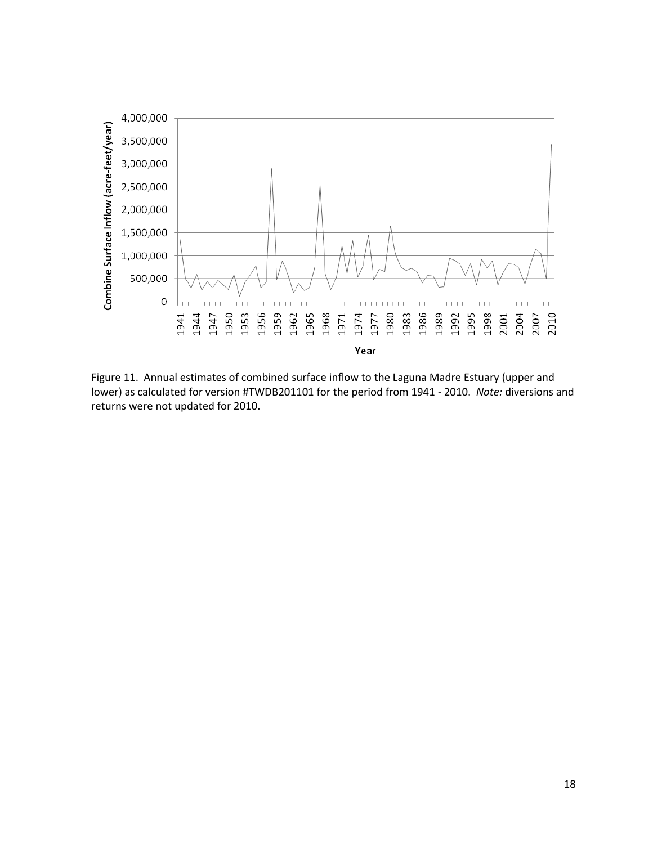

Figure 11. Annual estimates of combined surface inflow to the Laguna Madre Estuary (upper and lower) as calculated for version #TWDB201101 for the period from 1941 - 2010. *Note:* diversions and returns were not updated for 2010.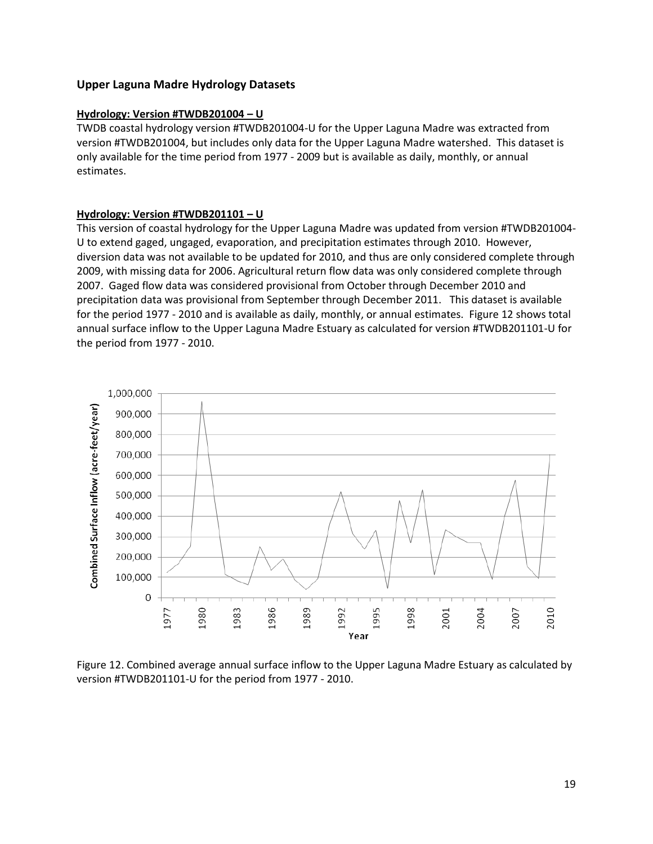# **Upper Laguna Madre Hydrology Datasets**

### **Hydrology: Version #TWDB201004 – U**

TWDB coastal hydrology version #TWDB201004-U for the Upper Laguna Madre was extracted from version #TWDB201004, but includes only data for the Upper Laguna Madre watershed. This dataset is only available for the time period from 1977 - 2009 but is available as daily, monthly, or annual estimates.

### **Hydrology: Version #TWDB201101 – U**

This version of coastal hydrology for the Upper Laguna Madre was updated from version #TWDB201004- U to extend gaged, ungaged, evaporation, and precipitation estimates through 2010. However, diversion data was not available to be updated for 2010, and thus are only considered complete through 2009, with missing data for 2006. Agricultural return flow data was only considered complete through 2007. Gaged flow data was considered provisional from October through December 2010 and precipitation data was provisional from September through December 2011. This dataset is available for the period 1977 - 2010 and is available as daily, monthly, or annual estimates. Figure 12 shows total annual surface inflow to the Upper Laguna Madre Estuary as calculated for version #TWDB201101-U for the period from 1977 - 2010.



Figure 12. Combined average annual surface inflow to the Upper Laguna Madre Estuary as calculated by version #TWDB201101-U for the period from 1977 - 2010.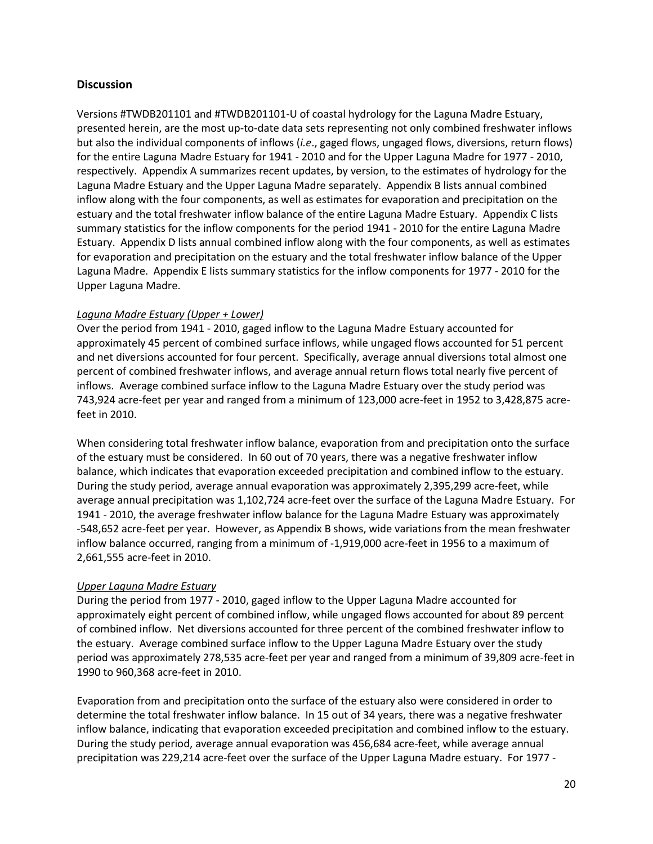# **Discussion**

Versions #TWDB201101 and #TWDB201101-U of coastal hydrology for the Laguna Madre Estuary, presented herein, are the most up-to-date data sets representing not only combined freshwater inflows but also the individual components of inflows (*i.e*., gaged flows, ungaged flows, diversions, return flows) for the entire Laguna Madre Estuary for 1941 - 2010 and for the Upper Laguna Madre for 1977 - 2010, respectively.Appendix A summarizes recent updates, by version, to the estimates of hydrology for the Laguna Madre Estuary and the Upper Laguna Madre separately. Appendix B lists annual combined inflow along with the four components, as well as estimates for evaporation and precipitation on the estuary and the total freshwater inflow balance of the entire Laguna Madre Estuary. Appendix C lists summary statistics for the inflow components for the period 1941 - 2010 for the entire Laguna Madre Estuary. Appendix D lists annual combined inflow along with the four components, as well as estimates for evaporation and precipitation on the estuary and the total freshwater inflow balance of the Upper Laguna Madre. Appendix E lists summary statistics for the inflow components for 1977 - 2010 for the Upper Laguna Madre.

### *Laguna Madre Estuary (Upper + Lower)*

Over the period from 1941 - 2010, gaged inflow to the Laguna Madre Estuary accounted for approximately 45 percent of combined surface inflows, while ungaged flows accounted for 51 percent and net diversions accounted for four percent. Specifically, average annual diversions total almost one percent of combined freshwater inflows, and average annual return flows total nearly five percent of inflows. Average combined surface inflow to the Laguna Madre Estuary over the study period was 743,924 acre-feet per year and ranged from a minimum of 123,000 acre-feet in 1952 to 3,428,875 acrefeet in 2010.

When considering total freshwater inflow balance, evaporation from and precipitation onto the surface of the estuary must be considered. In 60 out of 70 years, there was a negative freshwater inflow balance, which indicates that evaporation exceeded precipitation and combined inflow to the estuary. During the study period, average annual evaporation was approximately 2,395,299 acre-feet, while average annual precipitation was 1,102,724 acre-feet over the surface of the Laguna Madre Estuary. For 1941 - 2010, the average freshwater inflow balance for the Laguna Madre Estuary was approximately -548,652 acre-feet per year. However, as Appendix B shows, wide variations from the mean freshwater inflow balance occurred, ranging from a minimum of -1,919,000 acre-feet in 1956 to a maximum of 2,661,555 acre-feet in 2010.

### *Upper Laguna Madre Estuary*

During the period from 1977 - 2010, gaged inflow to the Upper Laguna Madre accounted for approximately eight percent of combined inflow, while ungaged flows accounted for about 89 percent of combined inflow. Net diversions accounted for three percent of the combined freshwater inflow to the estuary. Average combined surface inflow to the Upper Laguna Madre Estuary over the study period was approximately 278,535 acre-feet per year and ranged from a minimum of 39,809 acre-feet in 1990 to 960,368 acre-feet in 2010.

Evaporation from and precipitation onto the surface of the estuary also were considered in order to determine the total freshwater inflow balance. In 15 out of 34 years, there was a negative freshwater inflow balance, indicating that evaporation exceeded precipitation and combined inflow to the estuary. During the study period, average annual evaporation was 456,684 acre-feet, while average annual precipitation was 229,214 acre-feet over the surface of the Upper Laguna Madre estuary. For 1977 -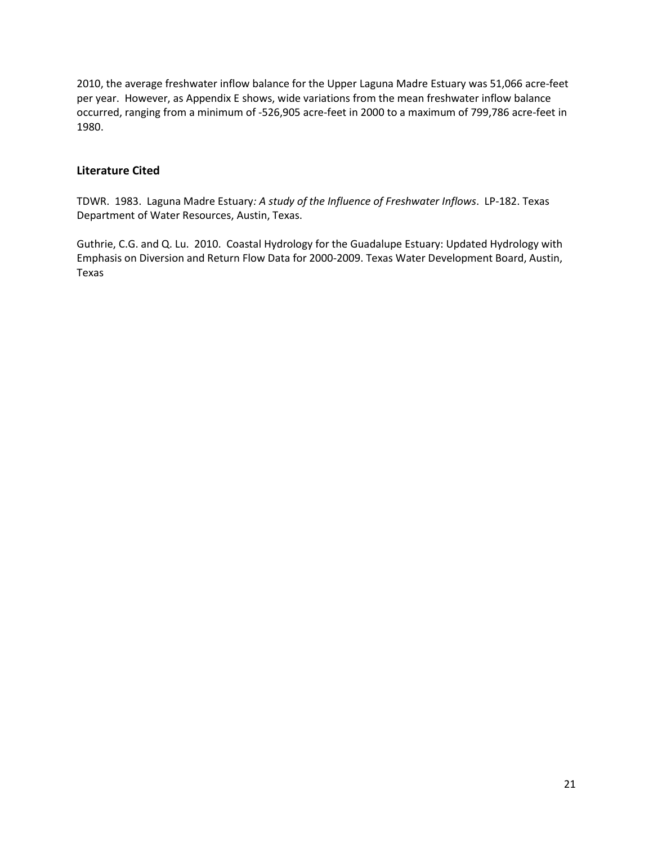2010, the average freshwater inflow balance for the Upper Laguna Madre Estuary was 51,066 acre-feet per year. However, as Appendix E shows, wide variations from the mean freshwater inflow balance occurred, ranging from a minimum of -526,905 acre-feet in 2000 to a maximum of 799,786 acre-feet in 1980.

# **Literature Cited**

TDWR. 1983. Laguna Madre Estuary*: A study of the Influence of Freshwater Inflows*. LP-182. Texas Department of Water Resources, Austin, Texas.

Guthrie, C.G. and Q. Lu. 2010. Coastal Hydrology for the Guadalupe Estuary: Updated Hydrology with Emphasis on Diversion and Return Flow Data for 2000-2009. Texas Water Development Board, Austin, Texas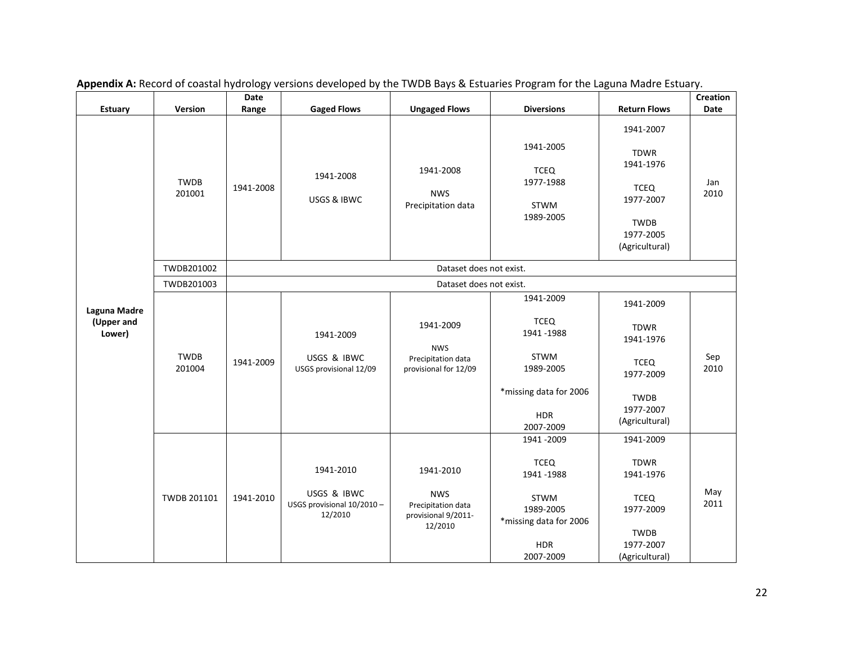| <b>Estuary</b>                       | Version               | Date<br>Range | <b>Gaged Flows</b>                                               | <b>Ungaged Flows</b>                                                            | <b>Diversions</b>                                                                                                        | <b>Return Flows</b>                                                                                             | <b>Creation</b><br>Date |  |
|--------------------------------------|-----------------------|---------------|------------------------------------------------------------------|---------------------------------------------------------------------------------|--------------------------------------------------------------------------------------------------------------------------|-----------------------------------------------------------------------------------------------------------------|-------------------------|--|
|                                      | <b>TWDB</b><br>201001 | 1941-2008     | 1941-2008<br>USGS & IBWC                                         | 1941-2008<br><b>NWS</b><br>Precipitation data                                   | 1941-2005<br><b>TCEQ</b><br>1977-1988<br>STWM<br>1989-2005                                                               | 1941-2007<br><b>TDWR</b><br>1941-1976<br><b>TCEQ</b><br>1977-2007<br><b>TWDB</b><br>1977-2005<br>(Agricultural) | Jan<br>2010             |  |
|                                      | TWDB201002            |               |                                                                  | Dataset does not exist.                                                         |                                                                                                                          |                                                                                                                 |                         |  |
| Laguna Madre<br>(Upper and<br>Lower) | TWDB201003            |               | Dataset does not exist.                                          |                                                                                 |                                                                                                                          |                                                                                                                 |                         |  |
|                                      | <b>TWDB</b><br>201004 | 1941-2009     | 1941-2009<br>USGS & IBWC<br>USGS provisional 12/09               | 1941-2009<br><b>NWS</b><br>Precipitation data<br>provisional for 12/09          | 1941-2009<br><b>TCEQ</b><br>1941 - 1988<br><b>STWM</b><br>1989-2005<br>*missing data for 2006<br><b>HDR</b><br>2007-2009 | 1941-2009<br><b>TDWR</b><br>1941-1976<br><b>TCEQ</b><br>1977-2009<br><b>TWDB</b><br>1977-2007<br>(Agricultural) | Sep<br>2010             |  |
|                                      | TWDB 201101           | 1941-2010     | 1941-2010<br>USGS & IBWC<br>USGS provisional 10/2010-<br>12/2010 | 1941-2010<br><b>NWS</b><br>Precipitation data<br>provisional 9/2011-<br>12/2010 | 1941 - 2009<br><b>TCEQ</b><br>1941 - 1988<br>STWM<br>1989-2005<br>*missing data for 2006<br><b>HDR</b><br>2007-2009      | 1941-2009<br><b>TDWR</b><br>1941-1976<br><b>TCEQ</b><br>1977-2009<br><b>TWDB</b><br>1977-2007<br>(Agricultural) | May<br>2011             |  |

|  |  |  | Appendix A: Record of coastal hydrology versions developed by the TWDB Bays & Estuaries Program for the Laguna Madre Estuary. |
|--|--|--|-------------------------------------------------------------------------------------------------------------------------------|
|--|--|--|-------------------------------------------------------------------------------------------------------------------------------|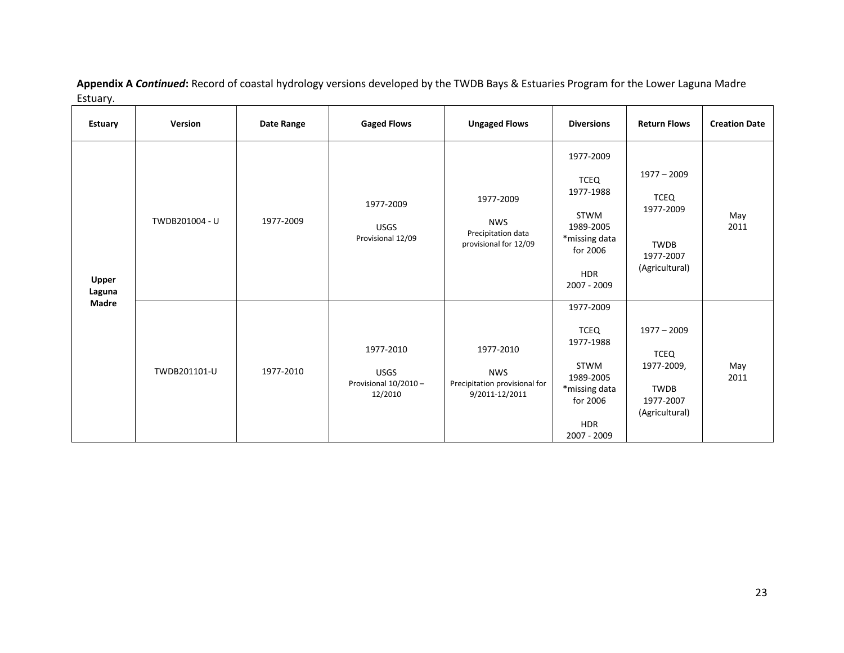| <b>Estuary</b>         | Version        | Date Range | <b>Gaged Flows</b>                                           | <b>Ungaged Flows</b>                                                       | <b>Diversions</b>                                                                                                    | <b>Return Flows</b>                                                                      | <b>Creation Date</b> |
|------------------------|----------------|------------|--------------------------------------------------------------|----------------------------------------------------------------------------|----------------------------------------------------------------------------------------------------------------------|------------------------------------------------------------------------------------------|----------------------|
| <b>Upper</b><br>Laguna | TWDB201004 - U | 1977-2009  | 1977-2009<br><b>USGS</b><br>Provisional 12/09                | 1977-2009<br><b>NWS</b><br>Precipitation data<br>provisional for 12/09     | 1977-2009<br><b>TCEQ</b><br>1977-1988<br>STWM<br>1989-2005<br>*missing data<br>for 2006<br><b>HDR</b><br>2007 - 2009 | $1977 - 2009$<br>TCEQ<br>1977-2009<br><b>TWDB</b><br>1977-2007<br>(Agricultural)         | May<br>2011          |
| <b>Madre</b>           | TWDB201101-U   | 1977-2010  | 1977-2010<br><b>USGS</b><br>Provisional 10/2010 -<br>12/2010 | 1977-2010<br><b>NWS</b><br>Precipitation provisional for<br>9/2011-12/2011 | 1977-2009<br><b>TCEQ</b><br>1977-1988<br>STWM<br>1989-2005<br>*missing data<br>for 2006<br><b>HDR</b><br>2007 - 2009 | $1977 - 2009$<br><b>TCEQ</b><br>1977-2009,<br><b>TWDB</b><br>1977-2007<br>(Agricultural) | May<br>2011          |

**Appendix A** *Continued***:** Record of coastal hydrology versions developed by the TWDB Bays & Estuaries Program for the Lower Laguna Madre Estuary.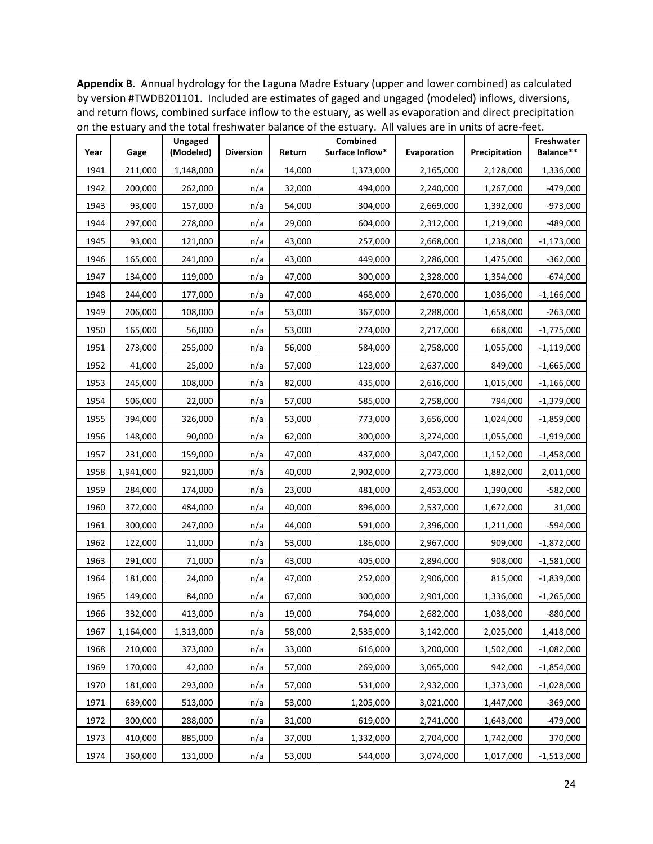**Appendix B.** Annual hydrology for the Laguna Madre Estuary (upper and lower combined) as calculated by version #TWDB201101. Included are estimates of gaged and ungaged (modeled) inflows, diversions, and return flows, combined surface inflow to the estuary, as well as evaporation and direct precipitation on the estuary and the total freshwater balance of the estuary. All values are in units of acre-feet.

| Year | Gage      | Ungaged<br>(Modeled) | <b>Diversion</b> | Return | Combined<br>Surface Inflow* | Evaporation | Precipitation | Freshwater<br>Balance** |
|------|-----------|----------------------|------------------|--------|-----------------------------|-------------|---------------|-------------------------|
| 1941 | 211,000   | 1,148,000            | n/a              | 14,000 | 1,373,000                   | 2,165,000   | 2,128,000     | 1,336,000               |
| 1942 | 200,000   | 262,000              | n/a              | 32,000 | 494,000                     | 2,240,000   | 1,267,000     | $-479,000$              |
| 1943 | 93,000    | 157,000              | n/a              | 54,000 | 304,000                     | 2,669,000   | 1,392,000     | $-973,000$              |
| 1944 | 297,000   | 278,000              | n/a              | 29,000 | 604,000                     | 2,312,000   | 1,219,000     | $-489,000$              |
| 1945 | 93,000    | 121,000              | n/a              | 43,000 | 257,000                     | 2,668,000   | 1,238,000     | $-1,173,000$            |
| 1946 | 165,000   | 241,000              | n/a              | 43,000 | 449,000                     | 2,286,000   | 1,475,000     | $-362,000$              |
| 1947 | 134,000   | 119,000              | n/a              | 47,000 | 300,000                     | 2,328,000   | 1,354,000     | $-674,000$              |
| 1948 | 244,000   | 177,000              | n/a              | 47,000 | 468,000                     | 2,670,000   | 1,036,000     | $-1,166,000$            |
| 1949 | 206,000   | 108,000              | n/a              | 53,000 | 367,000                     | 2,288,000   | 1,658,000     | $-263,000$              |
| 1950 | 165,000   | 56,000               | n/a              | 53,000 | 274,000                     | 2,717,000   | 668,000       | $-1,775,000$            |
| 1951 | 273,000   | 255,000              | n/a              | 56,000 | 584,000                     | 2,758,000   | 1,055,000     | $-1,119,000$            |
| 1952 | 41,000    | 25,000               | n/a              | 57,000 | 123,000                     | 2,637,000   | 849,000       | $-1,665,000$            |
| 1953 | 245,000   | 108,000              | n/a              | 82,000 | 435,000                     | 2,616,000   | 1,015,000     | $-1,166,000$            |
| 1954 | 506,000   | 22,000               | n/a              | 57,000 | 585,000                     | 2,758,000   | 794,000       | $-1,379,000$            |
| 1955 | 394,000   | 326,000              | n/a              | 53,000 | 773,000                     | 3,656,000   | 1,024,000     | $-1,859,000$            |
| 1956 | 148,000   | 90,000               | n/a              | 62,000 | 300,000                     | 3,274,000   | 1,055,000     | $-1,919,000$            |
| 1957 | 231,000   | 159,000              | n/a              | 47,000 | 437,000                     | 3,047,000   | 1,152,000     | $-1,458,000$            |
| 1958 | 1,941,000 | 921,000              | n/a              | 40,000 | 2,902,000                   | 2,773,000   | 1,882,000     | 2,011,000               |
| 1959 | 284,000   | 174,000              | n/a              | 23,000 | 481,000                     | 2,453,000   | 1,390,000     | $-582,000$              |
| 1960 | 372,000   | 484,000              | n/a              | 40,000 | 896,000                     | 2,537,000   | 1,672,000     | 31,000                  |
| 1961 | 300,000   | 247,000              | n/a              | 44,000 | 591,000                     | 2,396,000   | 1,211,000     | $-594,000$              |
| 1962 | 122,000   | 11,000               | n/a              | 53,000 | 186,000                     | 2,967,000   | 909,000       | $-1,872,000$            |
| 1963 | 291,000   | 71,000               | n/a              | 43,000 | 405,000                     | 2,894,000   | 908,000       | $-1,581,000$            |
| 1964 | 181,000   | 24,000               | n/a              | 47,000 | 252,000                     | 2,906,000   | 815,000       | $-1,839,000$            |
| 1965 | 149,000   | 84,000               | n/a              | 67,000 | 300,000                     | 2,901,000   | 1,336,000     | $-1,265,000$            |
| 1966 | 332,000   | 413,000              | n/a              | 19,000 | 764,000                     | 2,682,000   | 1,038,000     | $-880,000$              |
| 1967 | 1,164,000 | 1,313,000            | n/a              | 58,000 | 2,535,000                   | 3,142,000   | 2,025,000     | 1,418,000               |
| 1968 | 210,000   | 373,000              | n/a              | 33,000 | 616,000                     | 3,200,000   | 1,502,000     | $-1,082,000$            |
| 1969 | 170,000   | 42,000               | n/a              | 57,000 | 269,000                     | 3,065,000   | 942,000       | $-1,854,000$            |
| 1970 | 181,000   | 293,000              | n/a              | 57,000 | 531,000                     | 2,932,000   | 1,373,000     | $-1,028,000$            |
| 1971 | 639,000   | 513,000              | n/a              | 53,000 | 1,205,000                   | 3,021,000   | 1,447,000     | $-369,000$              |
| 1972 | 300,000   | 288,000              | n/a              | 31,000 | 619,000                     | 2,741,000   | 1,643,000     | $-479,000$              |
| 1973 | 410,000   | 885,000              | n/a              | 37,000 | 1,332,000                   | 2,704,000   | 1,742,000     | 370,000                 |
| 1974 | 360,000   | 131,000              | n/a              | 53,000 | 544,000                     | 3,074,000   | 1,017,000     | $-1,513,000$            |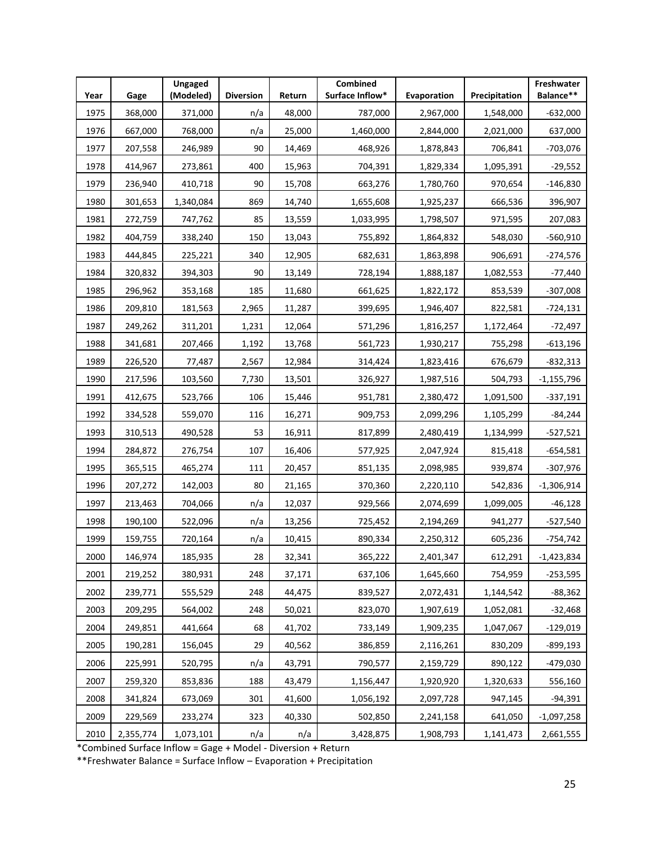| Year | Gage      | Ungaged<br>(Modeled) | <b>Diversion</b> | Return | Combined<br>Surface Inflow* | Evaporation | Precipitation | Freshwater<br>Balance** |
|------|-----------|----------------------|------------------|--------|-----------------------------|-------------|---------------|-------------------------|
| 1975 | 368,000   | 371,000              | n/a              | 48,000 | 787,000                     | 2,967,000   | 1,548,000     | $-632,000$              |
| 1976 | 667,000   | 768,000              | n/a              | 25,000 | 1,460,000                   | 2,844,000   | 2,021,000     | 637,000                 |
| 1977 | 207,558   | 246,989              | 90               | 14,469 | 468,926                     | 1,878,843   | 706,841       | $-703,076$              |
| 1978 | 414,967   | 273,861              | 400              | 15,963 | 704,391                     | 1,829,334   | 1,095,391     | $-29,552$               |
| 1979 | 236,940   | 410,718              | 90               | 15,708 | 663,276                     | 1,780,760   | 970,654       | $-146,830$              |
| 1980 | 301,653   | 1,340,084            | 869              | 14,740 | 1,655,608                   | 1,925,237   | 666,536       | 396,907                 |
| 1981 | 272,759   | 747,762              | 85               | 13,559 | 1,033,995                   | 1,798,507   | 971,595       | 207,083                 |
| 1982 | 404,759   | 338,240              | 150              | 13,043 | 755,892                     | 1,864,832   | 548,030       | $-560,910$              |
| 1983 | 444,845   | 225,221              | 340              | 12,905 | 682,631                     | 1,863,898   | 906,691       | -274,576                |
| 1984 | 320,832   | 394,303              | 90               | 13,149 | 728,194                     | 1,888,187   | 1,082,553     | -77,440                 |
| 1985 | 296,962   | 353,168              | 185              | 11,680 | 661,625                     | 1,822,172   | 853,539       | $-307,008$              |
| 1986 | 209,810   | 181,563              | 2,965            | 11,287 | 399,695                     | 1,946,407   | 822,581       | $-724,131$              |
| 1987 | 249,262   | 311,201              | 1,231            | 12,064 | 571,296                     | 1,816,257   | 1,172,464     | -72,497                 |
| 1988 | 341,681   | 207,466              | 1,192            | 13,768 | 561,723                     | 1,930,217   | 755,298       | $-613,196$              |
| 1989 | 226,520   | 77,487               | 2,567            | 12,984 | 314,424                     | 1,823,416   | 676,679       | $-832,313$              |
| 1990 | 217,596   | 103,560              | 7,730            | 13,501 | 326,927                     | 1,987,516   | 504,793       | $-1,155,796$            |
| 1991 | 412,675   | 523,766              | 106              | 15,446 | 951,781                     | 2,380,472   | 1,091,500     | $-337,191$              |
| 1992 | 334,528   | 559,070              | 116              | 16,271 | 909,753                     | 2,099,296   | 1,105,299     | $-84,244$               |
| 1993 | 310,513   | 490,528              | 53               | 16,911 | 817,899                     | 2,480,419   | 1,134,999     | -527,521                |
| 1994 | 284,872   | 276,754              | 107              | 16,406 | 577,925                     | 2,047,924   | 815,418       | $-654,581$              |
| 1995 | 365,515   | 465,274              | 111              | 20,457 | 851,135                     | 2,098,985   | 939,874       | $-307,976$              |
| 1996 | 207,272   | 142,003              | 80               | 21,165 | 370,360                     | 2,220,110   | 542,836       | $-1,306,914$            |
| 1997 | 213,463   | 704,066              | n/a              | 12,037 | 929,566                     | 2,074,699   | 1,099,005     | -46,128                 |
| 1998 | 190,100   | 522,096              | n/a              | 13,256 | 725,452                     | 2,194,269   | 941,277       | -527,540                |
| 1999 | 159,755   | 720,164              | n/a              | 10,415 | 890,334                     | 2,250,312   | 605,236       | -754,742                |
| 2000 | 146,974   | 185,935              | 28               | 32,341 | 365,222                     | 2,401,347   | 612,291       | $-1,423,834$            |
| 2001 | 219,252   | 380,931              | 248              | 37,171 | 637,106                     | 1,645,660   | 754,959       | $-253,595$              |
| 2002 | 239,771   | 555,529              | 248              | 44,475 | 839,527                     | 2,072,431   | 1,144,542     | $-88,362$               |
| 2003 | 209,295   | 564,002              | 248              | 50,021 | 823,070                     | 1,907,619   | 1,052,081     | $-32,468$               |
| 2004 | 249,851   | 441,664              | 68               | 41,702 | 733,149                     | 1,909,235   | 1,047,067     | $-129,019$              |
| 2005 | 190,281   | 156,045              | 29               | 40,562 | 386,859                     | 2,116,261   | 830,209       | $-899,193$              |
| 2006 | 225,991   | 520,795              | n/a              | 43,791 | 790,577                     | 2,159,729   | 890,122       | -479,030                |
| 2007 | 259,320   | 853,836              | 188              | 43,479 | 1,156,447                   | 1,920,920   | 1,320,633     | 556,160                 |
| 2008 | 341,824   | 673,069              | 301              | 41,600 | 1,056,192                   | 2,097,728   | 947,145       | $-94,391$               |
| 2009 | 229,569   | 233,274              | 323              | 40,330 | 502,850                     | 2,241,158   | 641,050       | $-1,097,258$            |
| 2010 | 2,355,774 | 1,073,101            | n/a              | n/a    | 3,428,875                   | 1,908,793   | 1,141,473     | 2,661,555               |

\*Combined Surface Inflow = Gage + Model - Diversion + Return

\*\*Freshwater Balance = Surface Inflow – Evaporation + Precipitation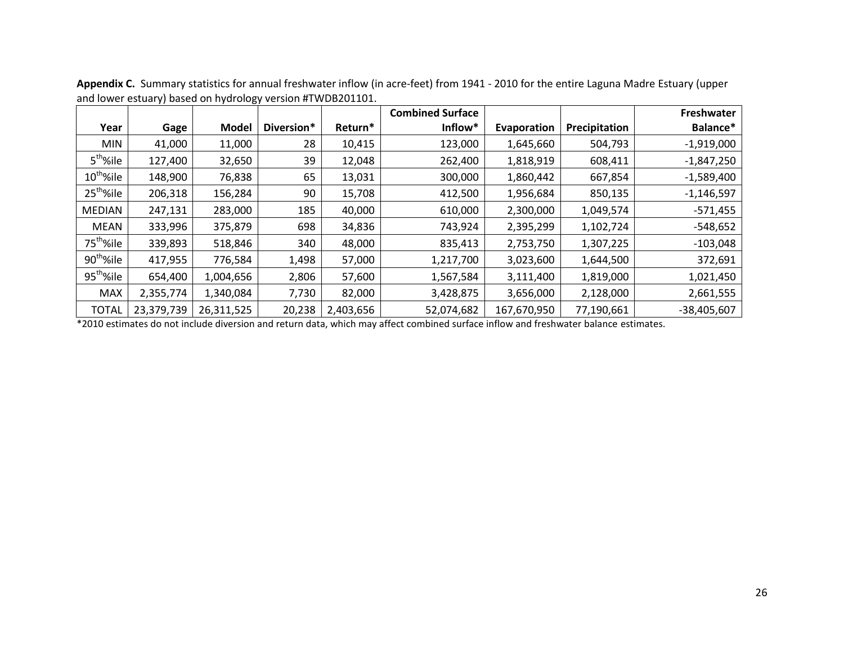|                       |            |              |            |           | <b>Combined Surface</b> |             |               | Freshwater    |
|-----------------------|------------|--------------|------------|-----------|-------------------------|-------------|---------------|---------------|
| Year                  | Gage       | <b>Model</b> | Diversion* | Return*   | Inflow*                 | Evaporation | Precipitation | Balance*      |
| <b>MIN</b>            | 41,000     | 11,000       | 28         | 10,415    | 123,000                 | 1,645,660   | 504,793       | $-1,919,000$  |
| 5 <sup>th</sup> %ile  | 127,400    | 32,650       | 39         | 12,048    | 262,400                 | 1,818,919   | 608,411       | $-1,847,250$  |
| $10^{th}$ %ile        | 148,900    | 76,838       | 65         | 13,031    | 300,000                 | 1,860,442   | 667,854       | $-1,589,400$  |
| 25 <sup>th</sup> %ile | 206,318    | 156,284      | 90         | 15,708    | 412,500                 | 1,956,684   | 850,135       | $-1,146,597$  |
| <b>MEDIAN</b>         | 247,131    | 283,000      | 185        | 40,000    | 610,000                 | 2,300,000   | 1,049,574     | $-571,455$    |
| MEAN                  | 333,996    | 375,879      | 698        | 34,836    | 743,924                 | 2,395,299   | 1,102,724     | $-548,652$    |
| 75 <sup>th</sup> %ile | 339,893    | 518,846      | 340        | 48,000    | 835,413                 | 2,753,750   | 1,307,225     | $-103,048$    |
| 90 <sup>th</sup> %ile | 417,955    | 776,584      | 1,498      | 57,000    | 1,217,700               | 3,023,600   | 1,644,500     | 372,691       |
| 95 <sup>th</sup> %ile | 654,400    | 1,004,656    | 2,806      | 57,600    | 1,567,584               | 3,111,400   | 1,819,000     | 1,021,450     |
| <b>MAX</b>            | 2,355,774  | 1,340,084    | 7,730      | 82,000    | 3,428,875               | 3,656,000   | 2,128,000     | 2,661,555     |
| <b>TOTAL</b>          | 23,379,739 | 26,311,525   | 20,238     | 2,403,656 | 52,074,682              | 167,670,950 | 77,190,661    | $-38,405,607$ |

**Appendix C.** Summary statistics for annual freshwater inflow (in acre-feet) from 1941 - 2010 for the entire Laguna Madre Estuary (upper and lower estuary) based on hydrology version #TWDB201101.

\*2010 estimates do not include diversion and return data, which may affect combined surface inflow and freshwater balance estimates.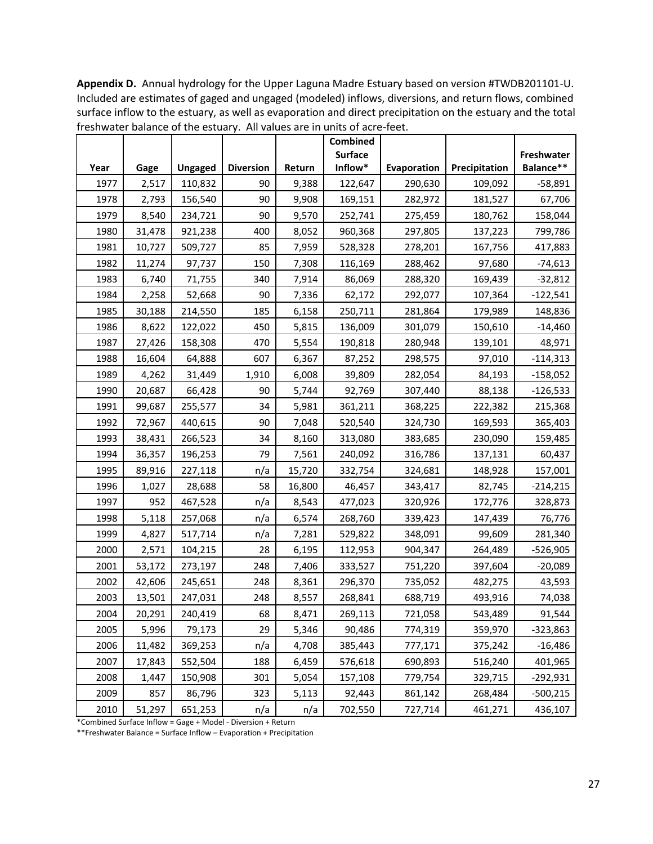**Year Gage Ungaged Diversion Return Combined Surface Inflow\* Evaporation Precipitation Freshwater Balance\*\*** 1977 | 2,517 | 110,832 | 90 | 9,388 | 122,647 | 290,630 | 109,092 | -58,891 1978 2,793 156,540 90 9,908 169,151 282,972 181,527 67,706 1979 8,540 234,721 90 9,570 252,741 275,459 180,762 158,044 1980 31,478 921,238 400 8,052 960,368 297,805 137,223 799,786 1981 | 10,727 | 509,727 | 85 | 7,959 | 528,328 | 278,201 | 167,756 | 417,883 1982 11,274 97,737 150 7,308 116,169 288,462 97,680 -74,613 1983 6,740 71,755 340 7,914 86,069 288,320 169,439 -32,812 1984 | 2,258 | 52,668 | 90 | 7,336 | 62,172 | 292,077 | 107,364 | -122,541 1985 30,188 214,550 185 6,158 250,711 281,864 179,989 148,836 1986 8,622 122,022 450 5,815 136,009 301,079 150,610 -14,460 1987 27,426 158,308 470 5,554 190,818 280,948 139,101 48,971 1988 16,604 64,888 607 6,367 87,252 298,575 97,010 -114,313 1989 4,262 31,449 1,910 6,008 39,809 282,054 84,193 -158,052 1990 20,687 66,428 90 5,744 92,769 307,440 88,138 -126,533 1991 99,687 255,577 34 5,981 361,211 368,225 222,382 215,368 1992 72,967 440,615 90 7,048 520,540 324,730 169,593 365,403 1993 38,431 266,523 34 8,160 313,080 383,685 230,090 159,485 1994 36,357 196,253 79 7,561 240,092 316,786 137,131 60,437 1995 | 89,916 | 227,118 | n/a | 15,720 | 332,754 | 324,681 | 148,928 | 157,001 1996 1,027 28,688 58 16,800 46,457 343,417 82,745 -214,215 1997 952 467,528 n/a 8,543 477,023 320,926 172,776 328,873 1998 | 5,118 | 257,068 | n/a | 6,574 | 268,760 | 339,423 | 147,439 | 76,776 1999 4,827 517,714 n/a 7,281 529,822 348,091 99,609 281,340 2000 2,571 104,215 28 6,195 112,953 904,347 264,489 -526,905 2001 53,172 273,197 248 7,406 333,527 751,220 397,604 -20,089 2002 42,606 245,651 248 8,361 296,370 735,052 482,275 43,593 2003 13,501 247,031 248 8,557 268,841 688,719 493,916 74,038 2004 20,291 240,419 68 8,471 269,113 721,058 543,489 91,544 2005 5,996 79,173 29 5,346 90,486 774,319 359,970 -323,863 2006 | 11,482 | 369,253 | n/a | 4,708 | 385,443 | 777,171 | 375,242 | -16,486 2007 17,843 552,504 188 6,459 576,618 690,893 516,240 401,965 2008 1,447 150,908 301 5,054 157,108 779,754 329,715 -292,931 2009 857 86,796 323 5,113 92,443 861,142 268,484 -500,215 2010 51,297 651,253 n/a n/a 702,550 727,714 461,271 436,107

**Appendix D.** Annual hydrology for the Upper Laguna Madre Estuary based on version #TWDB201101-U. Included are estimates of gaged and ungaged (modeled) inflows, diversions, and return flows, combined surface inflow to the estuary, as well as evaporation and direct precipitation on the estuary and the total freshwater balance of the estuary. All values are in units of acre-feet.

\*Combined Surface Inflow = Gage + Model - Diversion + Return

\*\*Freshwater Balance = Surface Inflow – Evaporation + Precipitation